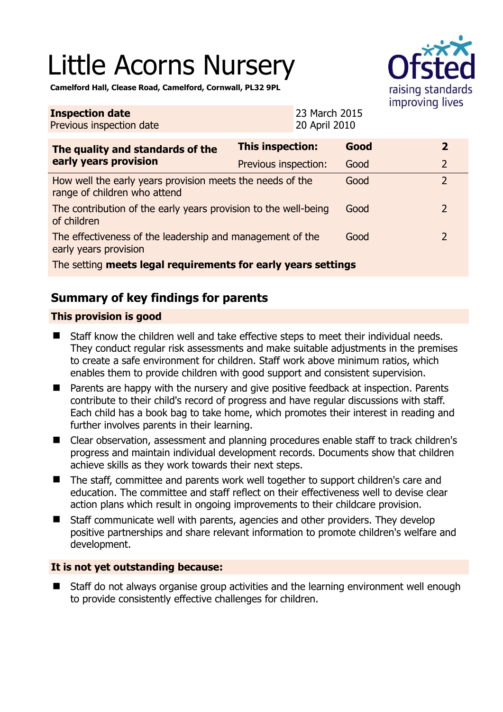# Little Acorns Nursery



**Camelford Hall, Clease Road, Camelford, Cornwall, PL32 9PL** 

| <b>Inspection date</b><br>Previous inspection date                                        |                         | 23 March 2015<br>20 April 2010 |      |  |                |
|-------------------------------------------------------------------------------------------|-------------------------|--------------------------------|------|--|----------------|
| The quality and standards of the<br>early years provision                                 | <b>This inspection:</b> |                                | Good |  | $\overline{2}$ |
|                                                                                           | Previous inspection:    |                                | Good |  | $\overline{2}$ |
| How well the early years provision meets the needs of the<br>range of children who attend |                         |                                | Good |  | $\overline{2}$ |
| The contribution of the early years provision to the well-being<br>of children            |                         |                                | Good |  | 2              |
| The effectiveness of the leadership and management of the<br>early years provision        |                         |                                | Good |  | $\overline{2}$ |
| The setting meets legal requirements for early years settings                             |                         |                                |      |  |                |

# **Summary of key findings for parents**

## **This provision is good**

- Staff know the children well and take effective steps to meet their individual needs. They conduct regular risk assessments and make suitable adjustments in the premises to create a safe environment for children. Staff work above minimum ratios, which enables them to provide children with good support and consistent supervision.
- Parents are happy with the nursery and give positive feedback at inspection. Parents contribute to their child's record of progress and have regular discussions with staff. Each child has a book bag to take home, which promotes their interest in reading and further involves parents in their learning.
- Clear observation, assessment and planning procedures enable staff to track children's progress and maintain individual development records. Documents show that children achieve skills as they work towards their next steps.
- The staff, committee and parents work well together to support children's care and education. The committee and staff reflect on their effectiveness well to devise clear action plans which result in ongoing improvements to their childcare provision.
- Staff communicate well with parents, agencies and other providers. They develop positive partnerships and share relevant information to promote children's welfare and development.

## **It is not yet outstanding because:**

■ Staff do not always organise group activities and the learning environment well enough to provide consistently effective challenges for children.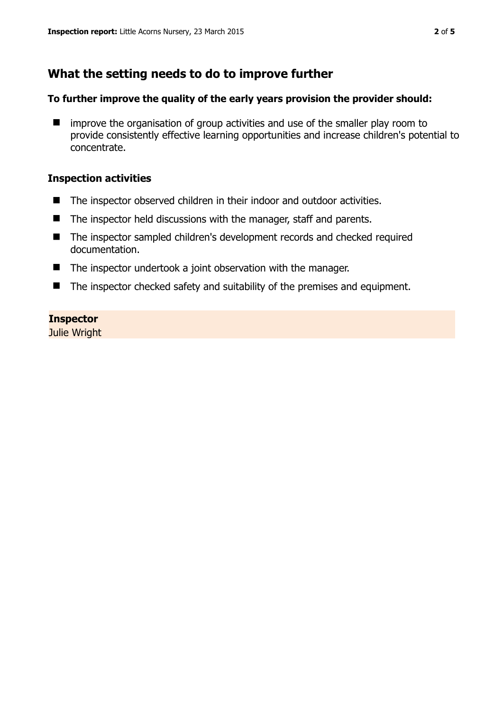# **What the setting needs to do to improve further**

#### **To further improve the quality of the early years provision the provider should:**

 $\blacksquare$  improve the organisation of group activities and use of the smaller play room to provide consistently effective learning opportunities and increase children's potential to concentrate.

#### **Inspection activities**

- The inspector observed children in their indoor and outdoor activities.
- The inspector held discussions with the manager, staff and parents.
- The inspector sampled children's development records and checked required documentation.
- The inspector undertook a joint observation with the manager.
- The inspector checked safety and suitability of the premises and equipment.

## **Inspector**

Julie Wright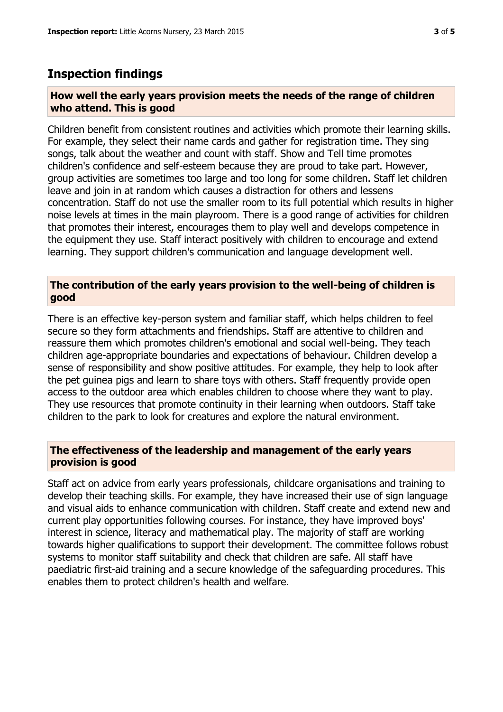## **Inspection findings**

#### **How well the early years provision meets the needs of the range of children who attend. This is good**

Children benefit from consistent routines and activities which promote their learning skills. For example, they select their name cards and gather for registration time. They sing songs, talk about the weather and count with staff. Show and Tell time promotes children's confidence and self-esteem because they are proud to take part. However, group activities are sometimes too large and too long for some children. Staff let children leave and join in at random which causes a distraction for others and lessens concentration. Staff do not use the smaller room to its full potential which results in higher noise levels at times in the main playroom. There is a good range of activities for children that promotes their interest, encourages them to play well and develops competence in the equipment they use. Staff interact positively with children to encourage and extend learning. They support children's communication and language development well.

#### **The contribution of the early years provision to the well-being of children is good**

There is an effective key-person system and familiar staff, which helps children to feel secure so they form attachments and friendships. Staff are attentive to children and reassure them which promotes children's emotional and social well-being. They teach children age-appropriate boundaries and expectations of behaviour. Children develop a sense of responsibility and show positive attitudes. For example, they help to look after the pet guinea pigs and learn to share toys with others. Staff frequently provide open access to the outdoor area which enables children to choose where they want to play. They use resources that promote continuity in their learning when outdoors. Staff take children to the park to look for creatures and explore the natural environment.

#### **The effectiveness of the leadership and management of the early years provision is good**

Staff act on advice from early years professionals, childcare organisations and training to develop their teaching skills. For example, they have increased their use of sign language and visual aids to enhance communication with children. Staff create and extend new and current play opportunities following courses. For instance, they have improved boys' interest in science, literacy and mathematical play. The majority of staff are working towards higher qualifications to support their development. The committee follows robust systems to monitor staff suitability and check that children are safe. All staff have paediatric first-aid training and a secure knowledge of the safeguarding procedures. This enables them to protect children's health and welfare.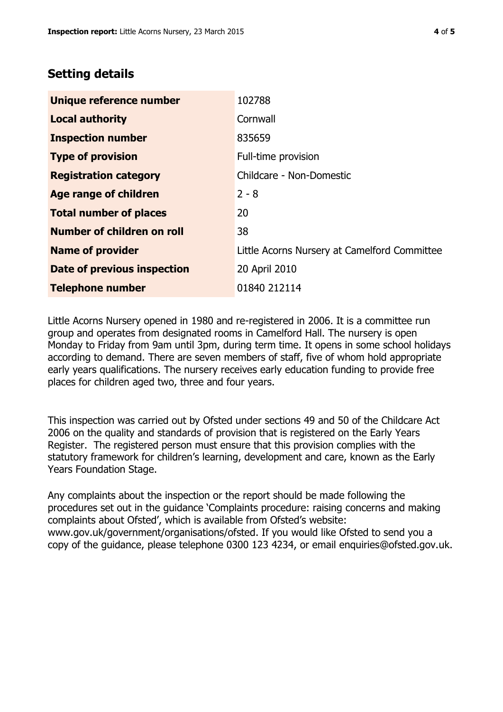# **Setting details**

| Unique reference number       | 102788                                       |
|-------------------------------|----------------------------------------------|
| <b>Local authority</b>        | Cornwall                                     |
| <b>Inspection number</b>      | 835659                                       |
| <b>Type of provision</b>      | Full-time provision                          |
| <b>Registration category</b>  | Childcare - Non-Domestic                     |
| <b>Age range of children</b>  | $2 - 8$                                      |
| <b>Total number of places</b> | 20                                           |
| Number of children on roll    | 38                                           |
| <b>Name of provider</b>       | Little Acorns Nursery at Camelford Committee |
| Date of previous inspection   | 20 April 2010                                |
| <b>Telephone number</b>       | 01840 212114                                 |

Little Acorns Nursery opened in 1980 and re-registered in 2006. It is a committee run group and operates from designated rooms in Camelford Hall. The nursery is open Monday to Friday from 9am until 3pm, during term time. It opens in some school holidays according to demand. There are seven members of staff, five of whom hold appropriate early years qualifications. The nursery receives early education funding to provide free places for children aged two, three and four years.

This inspection was carried out by Ofsted under sections 49 and 50 of the Childcare Act 2006 on the quality and standards of provision that is registered on the Early Years Register. The registered person must ensure that this provision complies with the statutory framework for children's learning, development and care, known as the Early Years Foundation Stage.

Any complaints about the inspection or the report should be made following the procedures set out in the guidance 'Complaints procedure: raising concerns and making complaints about Ofsted', which is available from Ofsted's website: www.gov.uk/government/organisations/ofsted. If you would like Ofsted to send you a copy of the guidance, please telephone 0300 123 4234, or email enquiries@ofsted.gov.uk.